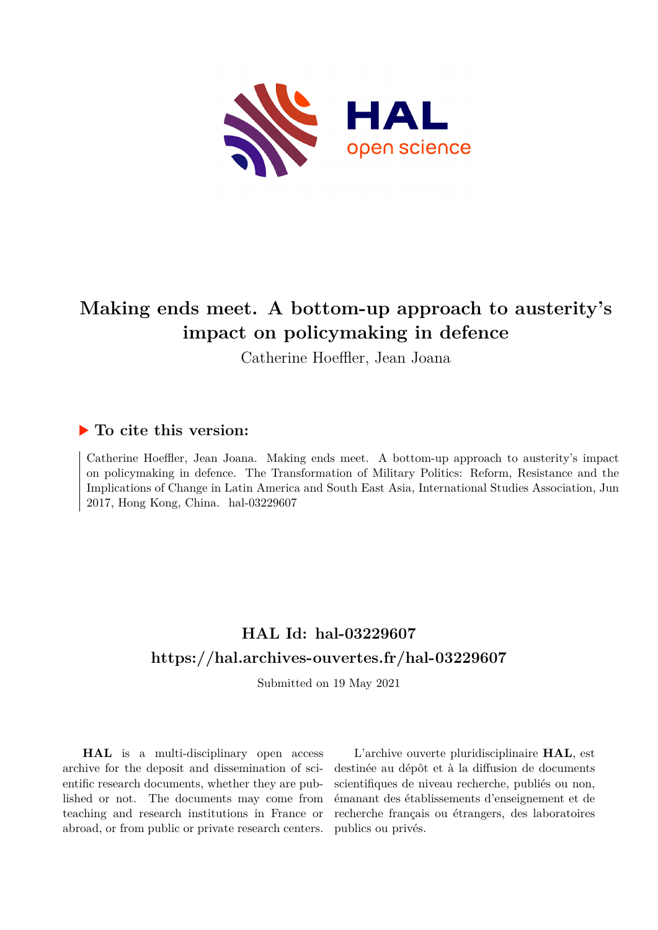

# **Making ends meet. A bottom-up approach to austerity's impact on policymaking in defence**

Catherine Hoeffler, Jean Joana

## **To cite this version:**

Catherine Hoeffler, Jean Joana. Making ends meet. A bottom-up approach to austerity's impact on policymaking in defence. The Transformation of Military Politics: Reform, Resistance and the Implications of Change in Latin America and South East Asia, International Studies Association, Jun 2017, Hong Kong, China. hal-03229607

# **HAL Id: hal-03229607 <https://hal.archives-ouvertes.fr/hal-03229607>**

Submitted on 19 May 2021

**HAL** is a multi-disciplinary open access archive for the deposit and dissemination of scientific research documents, whether they are published or not. The documents may come from teaching and research institutions in France or abroad, or from public or private research centers.

L'archive ouverte pluridisciplinaire **HAL**, est destinée au dépôt et à la diffusion de documents scientifiques de niveau recherche, publiés ou non, émanant des établissements d'enseignement et de recherche français ou étrangers, des laboratoires publics ou privés.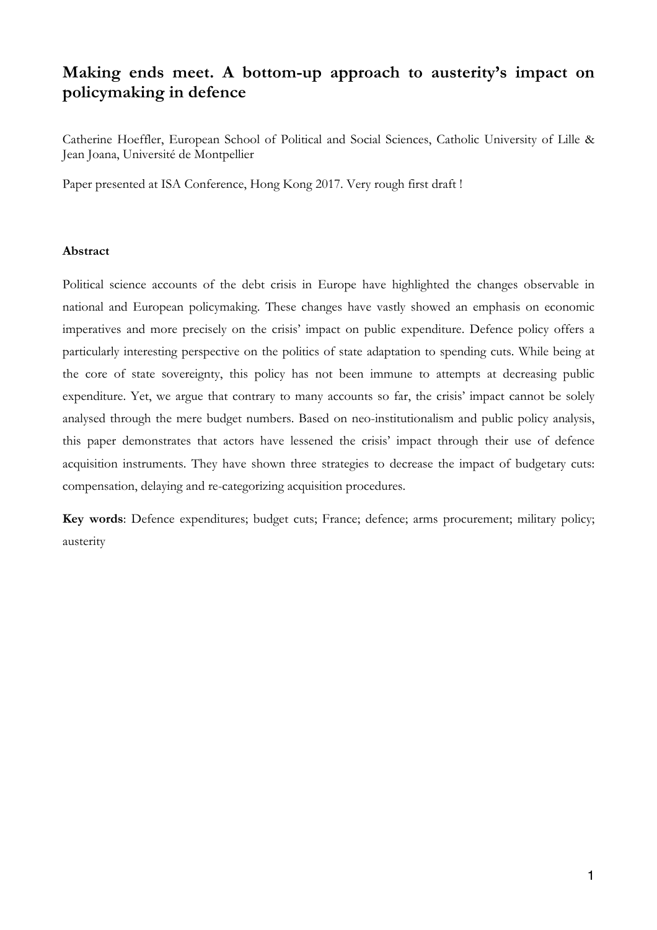# **Making ends meet. A bottom-up approach to austerity's impact on policymaking in defence**

Catherine Hoeffler, European School of Political and Social Sciences, Catholic University of Lille & Jean Joana, Université de Montpellier

Paper presented at ISA Conference, Hong Kong 2017. Very rough first draft !

### **Abstract**

Political science accounts of the debt crisis in Europe have highlighted the changes observable in national and European policymaking. These changes have vastly showed an emphasis on economic imperatives and more precisely on the crisis' impact on public expenditure. Defence policy offers a particularly interesting perspective on the politics of state adaptation to spending cuts. While being at the core of state sovereignty, this policy has not been immune to attempts at decreasing public expenditure. Yet, we argue that contrary to many accounts so far, the crisis' impact cannot be solely analysed through the mere budget numbers. Based on neo-institutionalism and public policy analysis, this paper demonstrates that actors have lessened the crisis' impact through their use of defence acquisition instruments. They have shown three strategies to decrease the impact of budgetary cuts: compensation, delaying and re-categorizing acquisition procedures.

**Key words**: Defence expenditures; budget cuts; France; defence; arms procurement; military policy; austerity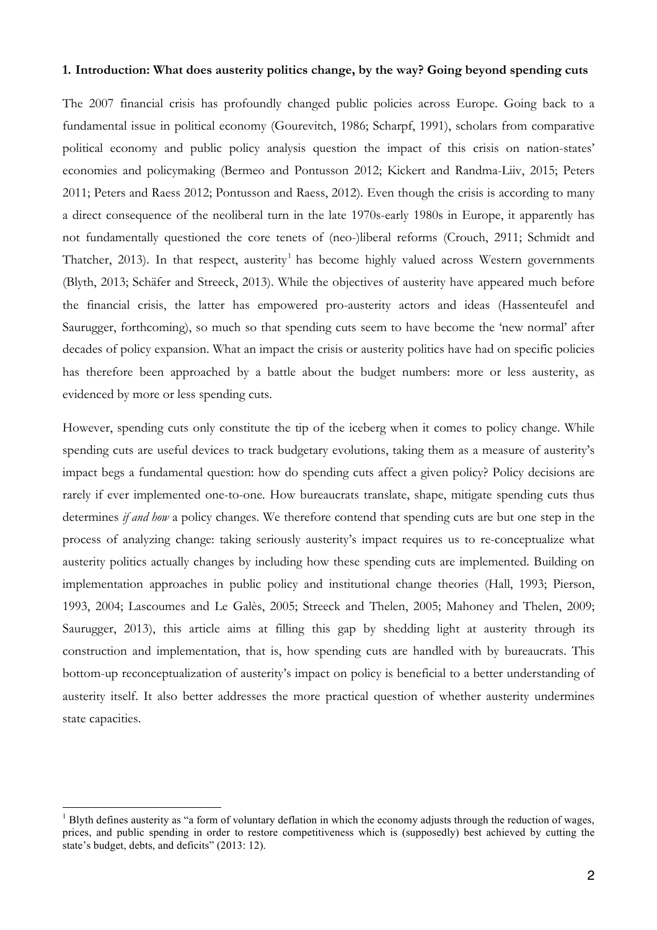### **1. Introduction: What does austerity politics change, by the way? Going beyond spending cuts**

The 2007 financial crisis has profoundly changed public policies across Europe. Going back to a fundamental issue in political economy (Gourevitch, 1986; Scharpf, 1991), scholars from comparative political economy and public policy analysis question the impact of this crisis on nation-states' economies and policymaking (Bermeo and Pontusson 2012; Kickert and Randma-Liiv, 2015; Peters 2011; Peters and Raess 2012; Pontusson and Raess, 2012). Even though the crisis is according to many a direct consequence of the neoliberal turn in the late 1970s-early 1980s in Europe, it apparently has not fundamentally questioned the core tenets of (neo-)liberal reforms (Crouch, 2911; Schmidt and Thatcher, 2013). In that respect, austerity<sup>1</sup> has become highly valued across Western governments (Blyth, 2013; Schäfer and Streeck, 2013). While the objectives of austerity have appeared much before the financial crisis, the latter has empowered pro-austerity actors and ideas (Hassenteufel and Saurugger, forthcoming), so much so that spending cuts seem to have become the 'new normal' after decades of policy expansion. What an impact the crisis or austerity politics have had on specific policies has therefore been approached by a battle about the budget numbers: more or less austerity, as evidenced by more or less spending cuts.

However, spending cuts only constitute the tip of the iceberg when it comes to policy change. While spending cuts are useful devices to track budgetary evolutions, taking them as a measure of austerity's impact begs a fundamental question: how do spending cuts affect a given policy? Policy decisions are rarely if ever implemented one-to-one. How bureaucrats translate, shape, mitigate spending cuts thus determines *if and how* a policy changes. We therefore contend that spending cuts are but one step in the process of analyzing change: taking seriously austerity's impact requires us to re-conceptualize what austerity politics actually changes by including how these spending cuts are implemented. Building on implementation approaches in public policy and institutional change theories (Hall, 1993; Pierson, 1993, 2004; Lascoumes and Le Galès, 2005; Streeck and Thelen, 2005; Mahoney and Thelen, 2009; Saurugger, 2013), this article aims at filling this gap by shedding light at austerity through its construction and implementation, that is, how spending cuts are handled with by bureaucrats. This bottom-up reconceptualization of austerity's impact on policy is beneficial to a better understanding of austerity itself. It also better addresses the more practical question of whether austerity undermines state capacities.

 $<sup>1</sup>$  Blyth defines austerity as "a form of voluntary deflation in which the economy adjusts through the reduction of wages,</sup> prices, and public spending in order to restore competitiveness which is (supposedly) best achieved by cutting the state's budget, debts, and deficits" (2013: 12).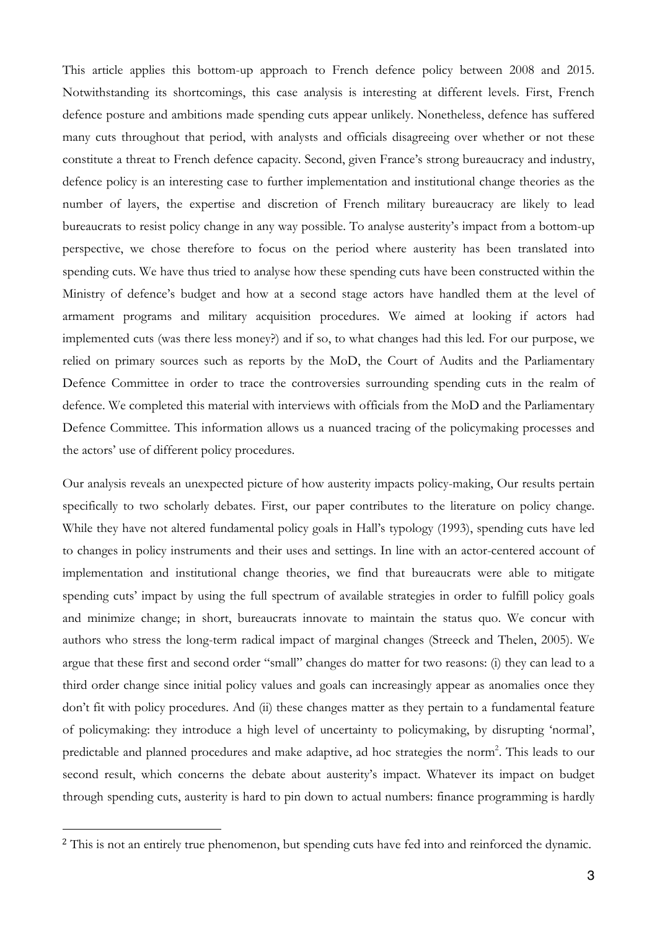This article applies this bottom-up approach to French defence policy between 2008 and 2015. Notwithstanding its shortcomings, this case analysis is interesting at different levels. First, French defence posture and ambitions made spending cuts appear unlikely. Nonetheless, defence has suffered many cuts throughout that period, with analysts and officials disagreeing over whether or not these constitute a threat to French defence capacity. Second, given France's strong bureaucracy and industry, defence policy is an interesting case to further implementation and institutional change theories as the number of layers, the expertise and discretion of French military bureaucracy are likely to lead bureaucrats to resist policy change in any way possible. To analyse austerity's impact from a bottom-up perspective, we chose therefore to focus on the period where austerity has been translated into spending cuts. We have thus tried to analyse how these spending cuts have been constructed within the Ministry of defence's budget and how at a second stage actors have handled them at the level of armament programs and military acquisition procedures. We aimed at looking if actors had implemented cuts (was there less money?) and if so, to what changes had this led. For our purpose, we relied on primary sources such as reports by the MoD, the Court of Audits and the Parliamentary Defence Committee in order to trace the controversies surrounding spending cuts in the realm of defence. We completed this material with interviews with officials from the MoD and the Parliamentary Defence Committee. This information allows us a nuanced tracing of the policymaking processes and the actors' use of different policy procedures.

Our analysis reveals an unexpected picture of how austerity impacts policy-making, Our results pertain specifically to two scholarly debates. First, our paper contributes to the literature on policy change. While they have not altered fundamental policy goals in Hall's typology (1993), spending cuts have led to changes in policy instruments and their uses and settings. In line with an actor-centered account of implementation and institutional change theories, we find that bureaucrats were able to mitigate spending cuts' impact by using the full spectrum of available strategies in order to fulfill policy goals and minimize change; in short, bureaucrats innovate to maintain the status quo. We concur with authors who stress the long-term radical impact of marginal changes (Streeck and Thelen, 2005). We argue that these first and second order "small" changes do matter for two reasons: (i) they can lead to a third order change since initial policy values and goals can increasingly appear as anomalies once they don't fit with policy procedures. And (ii) these changes matter as they pertain to a fundamental feature of policymaking: they introduce a high level of uncertainty to policymaking, by disrupting 'normal', predictable and planned procedures and make adaptive, ad hoc strategies the norm<sup>2</sup>. This leads to our second result, which concerns the debate about austerity's impact. Whatever its impact on budget through spending cuts, austerity is hard to pin down to actual numbers: finance programming is hardly

 $\overline{a}$ 

<sup>&</sup>lt;sup>2</sup> This is not an entirely true phenomenon, but spending cuts have fed into and reinforced the dynamic.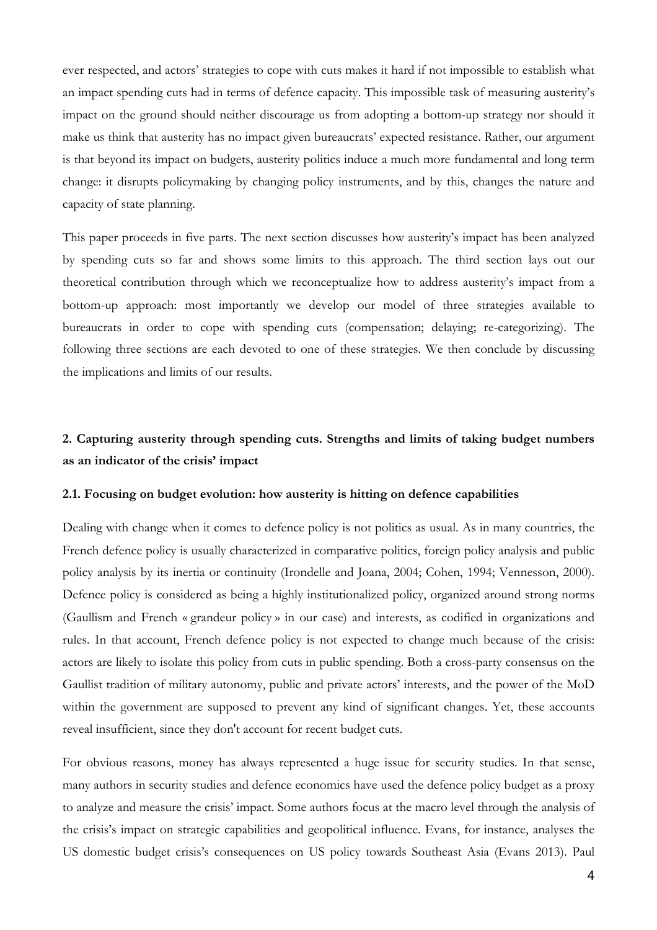ever respected, and actors' strategies to cope with cuts makes it hard if not impossible to establish what an impact spending cuts had in terms of defence capacity. This impossible task of measuring austerity's impact on the ground should neither discourage us from adopting a bottom-up strategy nor should it make us think that austerity has no impact given bureaucrats' expected resistance. Rather, our argument is that beyond its impact on budgets, austerity politics induce a much more fundamental and long term change: it disrupts policymaking by changing policy instruments, and by this, changes the nature and capacity of state planning.

This paper proceeds in five parts. The next section discusses how austerity's impact has been analyzed by spending cuts so far and shows some limits to this approach. The third section lays out our theoretical contribution through which we reconceptualize how to address austerity's impact from a bottom-up approach: most importantly we develop our model of three strategies available to bureaucrats in order to cope with spending cuts (compensation; delaying; re-categorizing). The following three sections are each devoted to one of these strategies. We then conclude by discussing the implications and limits of our results.

## **2. Capturing austerity through spending cuts. Strengths and limits of taking budget numbers as an indicator of the crisis' impact**

#### **2.1. Focusing on budget evolution: how austerity is hitting on defence capabilities**

Dealing with change when it comes to defence policy is not politics as usual. As in many countries, the French defence policy is usually characterized in comparative politics, foreign policy analysis and public policy analysis by its inertia or continuity (Irondelle and Joana, 2004; Cohen, 1994; Vennesson, 2000). Defence policy is considered as being a highly institutionalized policy, organized around strong norms (Gaullism and French « grandeur policy » in our case) and interests, as codified in organizations and rules. In that account, French defence policy is not expected to change much because of the crisis: actors are likely to isolate this policy from cuts in public spending. Both a cross-party consensus on the Gaullist tradition of military autonomy, public and private actors' interests, and the power of the MoD within the government are supposed to prevent any kind of significant changes. Yet, these accounts reveal insufficient, since they don't account for recent budget cuts.

For obvious reasons, money has always represented a huge issue for security studies. In that sense, many authors in security studies and defence economics have used the defence policy budget as a proxy to analyze and measure the crisis' impact. Some authors focus at the macro level through the analysis of the crisis's impact on strategic capabilities and geopolitical influence. Evans, for instance, analyses the US domestic budget crisis's consequences on US policy towards Southeast Asia (Evans 2013). Paul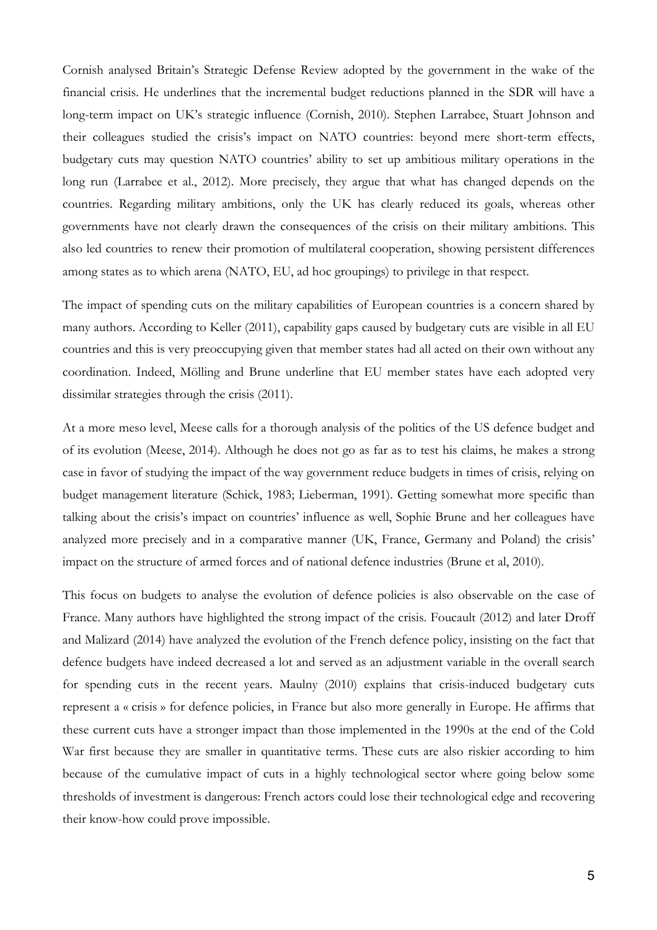Cornish analysed Britain's Strategic Defense Review adopted by the government in the wake of the financial crisis. He underlines that the incremental budget reductions planned in the SDR will have a long-term impact on UK's strategic influence (Cornish, 2010). Stephen Larrabee, Stuart Johnson and their colleagues studied the crisis's impact on NATO countries: beyond mere short-term effects, budgetary cuts may question NATO countries' ability to set up ambitious military operations in the long run (Larrabee et al., 2012). More precisely, they argue that what has changed depends on the countries. Regarding military ambitions, only the UK has clearly reduced its goals, whereas other governments have not clearly drawn the consequences of the crisis on their military ambitions. This also led countries to renew their promotion of multilateral cooperation, showing persistent differences among states as to which arena (NATO, EU, ad hoc groupings) to privilege in that respect.

The impact of spending cuts on the military capabilities of European countries is a concern shared by many authors. According to Keller (2011), capability gaps caused by budgetary cuts are visible in all EU countries and this is very preoccupying given that member states had all acted on their own without any coordination. Indeed, Mölling and Brune underline that EU member states have each adopted very dissimilar strategies through the crisis (2011).

At a more meso level, Meese calls for a thorough analysis of the politics of the US defence budget and of its evolution (Meese, 2014). Although he does not go as far as to test his claims, he makes a strong case in favor of studying the impact of the way government reduce budgets in times of crisis, relying on budget management literature (Schick, 1983; Lieberman, 1991). Getting somewhat more specific than talking about the crisis's impact on countries' influence as well, Sophie Brune and her colleagues have analyzed more precisely and in a comparative manner (UK, France, Germany and Poland) the crisis' impact on the structure of armed forces and of national defence industries (Brune et al, 2010).

This focus on budgets to analyse the evolution of defence policies is also observable on the case of France. Many authors have highlighted the strong impact of the crisis. Foucault (2012) and later Droff and Malizard (2014) have analyzed the evolution of the French defence policy, insisting on the fact that defence budgets have indeed decreased a lot and served as an adjustment variable in the overall search for spending cuts in the recent years. Maulny (2010) explains that crisis-induced budgetary cuts represent a « crisis » for defence policies, in France but also more generally in Europe. He affirms that these current cuts have a stronger impact than those implemented in the 1990s at the end of the Cold War first because they are smaller in quantitative terms. These cuts are also riskier according to him because of the cumulative impact of cuts in a highly technological sector where going below some thresholds of investment is dangerous: French actors could lose their technological edge and recovering their know-how could prove impossible.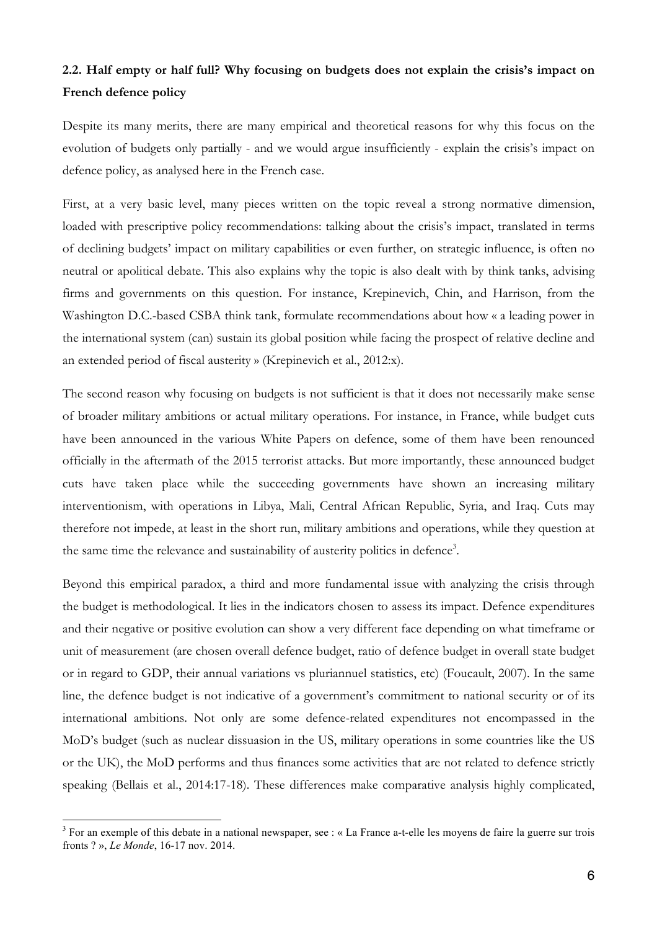# **2.2. Half empty or half full? Why focusing on budgets does not explain the crisis's impact on French defence policy**

Despite its many merits, there are many empirical and theoretical reasons for why this focus on the evolution of budgets only partially - and we would argue insufficiently - explain the crisis's impact on defence policy, as analysed here in the French case.

First, at a very basic level, many pieces written on the topic reveal a strong normative dimension, loaded with prescriptive policy recommendations: talking about the crisis's impact, translated in terms of declining budgets' impact on military capabilities or even further, on strategic influence, is often no neutral or apolitical debate. This also explains why the topic is also dealt with by think tanks, advising firms and governments on this question. For instance, Krepinevich, Chin, and Harrison, from the Washington D.C.-based CSBA think tank, formulate recommendations about how « a leading power in the international system (can) sustain its global position while facing the prospect of relative decline and an extended period of fiscal austerity » (Krepinevich et al., 2012:x).

The second reason why focusing on budgets is not sufficient is that it does not necessarily make sense of broader military ambitions or actual military operations. For instance, in France, while budget cuts have been announced in the various White Papers on defence, some of them have been renounced officially in the aftermath of the 2015 terrorist attacks. But more importantly, these announced budget cuts have taken place while the succeeding governments have shown an increasing military interventionism, with operations in Libya, Mali, Central African Republic, Syria, and Iraq. Cuts may therefore not impede, at least in the short run, military ambitions and operations, while they question at the same time the relevance and sustainability of austerity politics in defence<sup>3</sup>.

Beyond this empirical paradox, a third and more fundamental issue with analyzing the crisis through the budget is methodological. It lies in the indicators chosen to assess its impact. Defence expenditures and their negative or positive evolution can show a very different face depending on what timeframe or unit of measurement (are chosen overall defence budget, ratio of defence budget in overall state budget or in regard to GDP, their annual variations vs pluriannuel statistics, etc) (Foucault, 2007). In the same line, the defence budget is not indicative of a government's commitment to national security or of its international ambitions. Not only are some defence-related expenditures not encompassed in the MoD's budget (such as nuclear dissuasion in the US, military operations in some countries like the US or the UK), the MoD performs and thus finances some activities that are not related to defence strictly speaking (Bellais et al., 2014:17-18). These differences make comparative analysis highly complicated,

<sup>&</sup>lt;sup>3</sup> For an exemple of this debate in a national newspaper, see : « La France a-t-elle les moyens de faire la guerre sur trois fronts ? », *Le Monde*, 16-17 nov. 2014.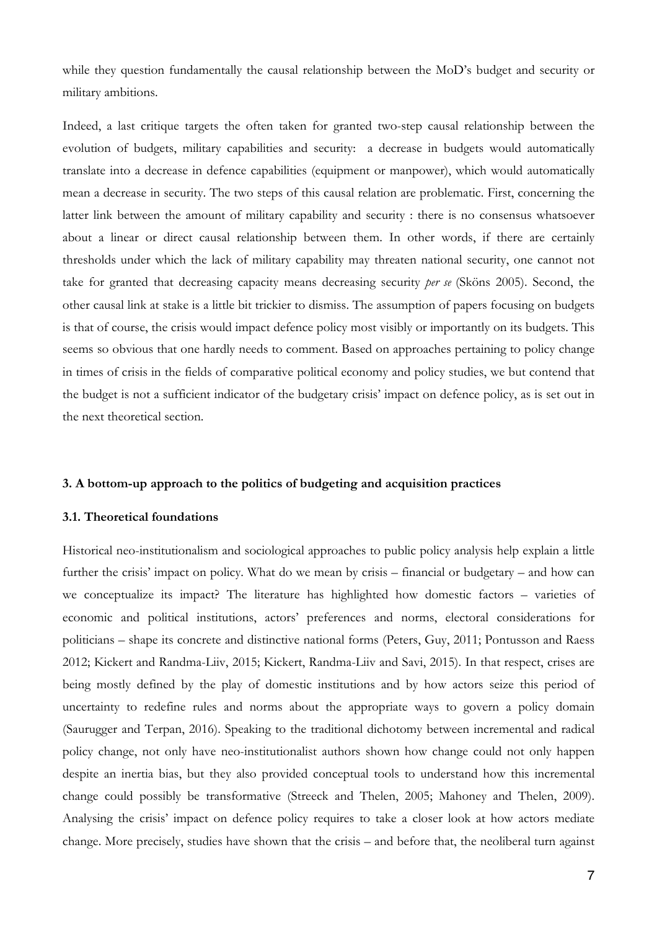while they question fundamentally the causal relationship between the MoD's budget and security or military ambitions.

Indeed, a last critique targets the often taken for granted two-step causal relationship between the evolution of budgets, military capabilities and security: a decrease in budgets would automatically translate into a decrease in defence capabilities (equipment or manpower), which would automatically mean a decrease in security. The two steps of this causal relation are problematic. First, concerning the latter link between the amount of military capability and security : there is no consensus whatsoever about a linear or direct causal relationship between them. In other words, if there are certainly thresholds under which the lack of military capability may threaten national security, one cannot not take for granted that decreasing capacity means decreasing security *per se* (Sköns 2005). Second, the other causal link at stake is a little bit trickier to dismiss. The assumption of papers focusing on budgets is that of course, the crisis would impact defence policy most visibly or importantly on its budgets. This seems so obvious that one hardly needs to comment. Based on approaches pertaining to policy change in times of crisis in the fields of comparative political economy and policy studies, we but contend that the budget is not a sufficient indicator of the budgetary crisis' impact on defence policy, as is set out in the next theoretical section.

#### **3. A bottom-up approach to the politics of budgeting and acquisition practices**

#### **3.1. Theoretical foundations**

Historical neo-institutionalism and sociological approaches to public policy analysis help explain a little further the crisis' impact on policy. What do we mean by crisis – financial or budgetary – and how can we conceptualize its impact? The literature has highlighted how domestic factors – varieties of economic and political institutions, actors' preferences and norms, electoral considerations for politicians – shape its concrete and distinctive national forms (Peters, Guy, 2011; Pontusson and Raess 2012; Kickert and Randma-Liiv, 2015; Kickert, Randma-Liiv and Savi, 2015). In that respect, crises are being mostly defined by the play of domestic institutions and by how actors seize this period of uncertainty to redefine rules and norms about the appropriate ways to govern a policy domain (Saurugger and Terpan, 2016). Speaking to the traditional dichotomy between incremental and radical policy change, not only have neo-institutionalist authors shown how change could not only happen despite an inertia bias, but they also provided conceptual tools to understand how this incremental change could possibly be transformative (Streeck and Thelen, 2005; Mahoney and Thelen, 2009). Analysing the crisis' impact on defence policy requires to take a closer look at how actors mediate change. More precisely, studies have shown that the crisis – and before that, the neoliberal turn against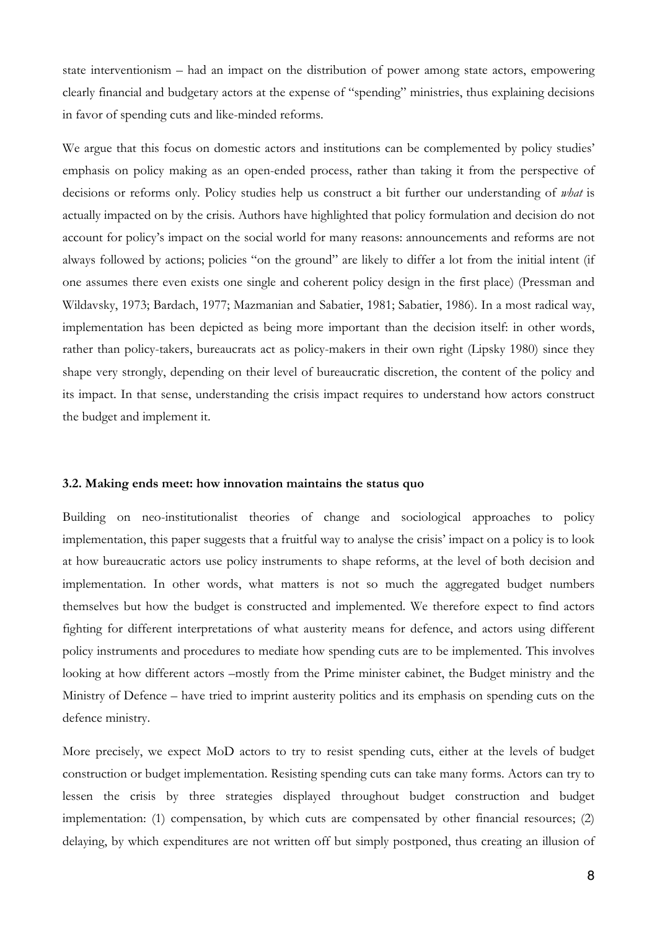state interventionism – had an impact on the distribution of power among state actors, empowering clearly financial and budgetary actors at the expense of "spending" ministries, thus explaining decisions in favor of spending cuts and like-minded reforms.

We argue that this focus on domestic actors and institutions can be complemented by policy studies' emphasis on policy making as an open-ended process, rather than taking it from the perspective of decisions or reforms only. Policy studies help us construct a bit further our understanding of *what* is actually impacted on by the crisis. Authors have highlighted that policy formulation and decision do not account for policy's impact on the social world for many reasons: announcements and reforms are not always followed by actions; policies "on the ground" are likely to differ a lot from the initial intent (if one assumes there even exists one single and coherent policy design in the first place) (Pressman and Wildavsky, 1973; Bardach, 1977; Mazmanian and Sabatier, 1981; Sabatier, 1986). In a most radical way, implementation has been depicted as being more important than the decision itself: in other words, rather than policy-takers, bureaucrats act as policy-makers in their own right (Lipsky 1980) since they shape very strongly, depending on their level of bureaucratic discretion, the content of the policy and its impact. In that sense, understanding the crisis impact requires to understand how actors construct the budget and implement it.

#### **3.2. Making ends meet: how innovation maintains the status quo**

Building on neo-institutionalist theories of change and sociological approaches to policy implementation, this paper suggests that a fruitful way to analyse the crisis' impact on a policy is to look at how bureaucratic actors use policy instruments to shape reforms, at the level of both decision and implementation. In other words, what matters is not so much the aggregated budget numbers themselves but how the budget is constructed and implemented. We therefore expect to find actors fighting for different interpretations of what austerity means for defence, and actors using different policy instruments and procedures to mediate how spending cuts are to be implemented. This involves looking at how different actors –mostly from the Prime minister cabinet, the Budget ministry and the Ministry of Defence – have tried to imprint austerity politics and its emphasis on spending cuts on the defence ministry.

More precisely, we expect MoD actors to try to resist spending cuts, either at the levels of budget construction or budget implementation. Resisting spending cuts can take many forms. Actors can try to lessen the crisis by three strategies displayed throughout budget construction and budget implementation: (1) compensation, by which cuts are compensated by other financial resources; (2) delaying, by which expenditures are not written off but simply postponed, thus creating an illusion of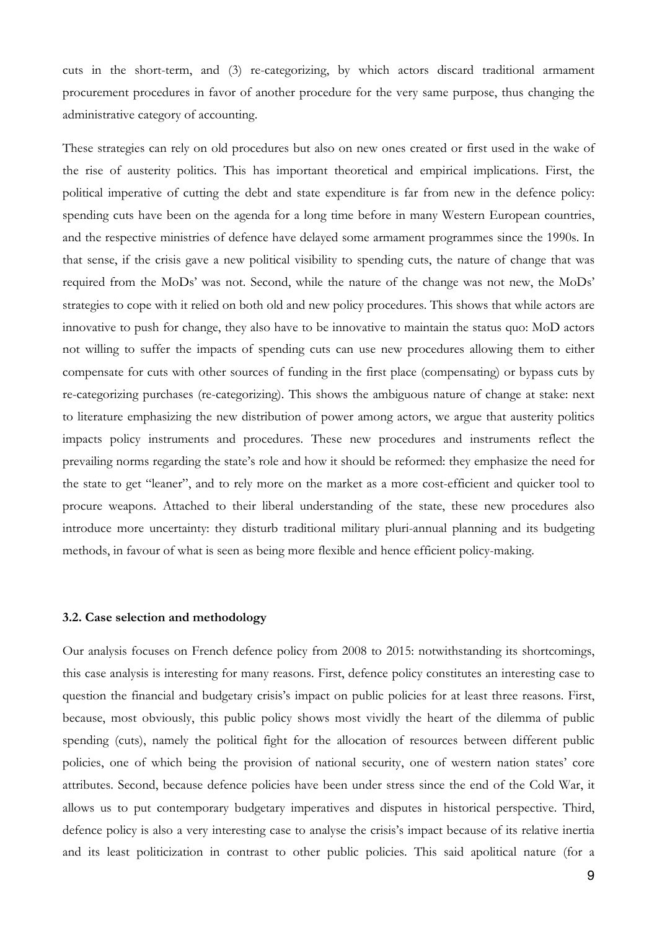cuts in the short-term, and (3) re-categorizing, by which actors discard traditional armament procurement procedures in favor of another procedure for the very same purpose, thus changing the administrative category of accounting.

These strategies can rely on old procedures but also on new ones created or first used in the wake of the rise of austerity politics. This has important theoretical and empirical implications. First, the political imperative of cutting the debt and state expenditure is far from new in the defence policy: spending cuts have been on the agenda for a long time before in many Western European countries, and the respective ministries of defence have delayed some armament programmes since the 1990s. In that sense, if the crisis gave a new political visibility to spending cuts, the nature of change that was required from the MoDs' was not. Second, while the nature of the change was not new, the MoDs' strategies to cope with it relied on both old and new policy procedures. This shows that while actors are innovative to push for change, they also have to be innovative to maintain the status quo: MoD actors not willing to suffer the impacts of spending cuts can use new procedures allowing them to either compensate for cuts with other sources of funding in the first place (compensating) or bypass cuts by re-categorizing purchases (re-categorizing). This shows the ambiguous nature of change at stake: next to literature emphasizing the new distribution of power among actors, we argue that austerity politics impacts policy instruments and procedures. These new procedures and instruments reflect the prevailing norms regarding the state's role and how it should be reformed: they emphasize the need for the state to get "leaner", and to rely more on the market as a more cost-efficient and quicker tool to procure weapons. Attached to their liberal understanding of the state, these new procedures also introduce more uncertainty: they disturb traditional military pluri-annual planning and its budgeting methods, in favour of what is seen as being more flexible and hence efficient policy-making.

#### **3.2. Case selection and methodology**

Our analysis focuses on French defence policy from 2008 to 2015: notwithstanding its shortcomings, this case analysis is interesting for many reasons. First, defence policy constitutes an interesting case to question the financial and budgetary crisis's impact on public policies for at least three reasons. First, because, most obviously, this public policy shows most vividly the heart of the dilemma of public spending (cuts), namely the political fight for the allocation of resources between different public policies, one of which being the provision of national security, one of western nation states' core attributes. Second, because defence policies have been under stress since the end of the Cold War, it allows us to put contemporary budgetary imperatives and disputes in historical perspective. Third, defence policy is also a very interesting case to analyse the crisis's impact because of its relative inertia and its least politicization in contrast to other public policies. This said apolitical nature (for a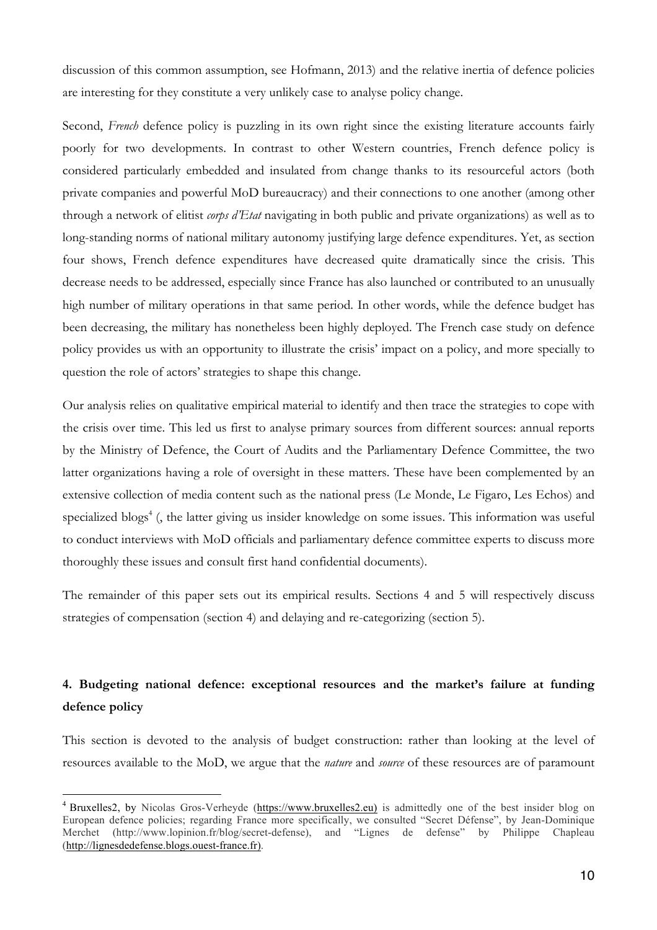discussion of this common assumption, see Hofmann, 2013) and the relative inertia of defence policies are interesting for they constitute a very unlikely case to analyse policy change.

Second, *French* defence policy is puzzling in its own right since the existing literature accounts fairly poorly for two developments. In contrast to other Western countries, French defence policy is considered particularly embedded and insulated from change thanks to its resourceful actors (both private companies and powerful MoD bureaucracy) and their connections to one another (among other through a network of elitist *corps d'Etat* navigating in both public and private organizations) as well as to long-standing norms of national military autonomy justifying large defence expenditures. Yet, as section four shows, French defence expenditures have decreased quite dramatically since the crisis. This decrease needs to be addressed, especially since France has also launched or contributed to an unusually high number of military operations in that same period. In other words, while the defence budget has been decreasing, the military has nonetheless been highly deployed. The French case study on defence policy provides us with an opportunity to illustrate the crisis' impact on a policy, and more specially to question the role of actors' strategies to shape this change.

Our analysis relies on qualitative empirical material to identify and then trace the strategies to cope with the crisis over time. This led us first to analyse primary sources from different sources: annual reports by the Ministry of Defence, the Court of Audits and the Parliamentary Defence Committee, the two latter organizations having a role of oversight in these matters. These have been complemented by an extensive collection of media content such as the national press (Le Monde, Le Figaro, Les Echos) and specialized blogs<sup>4</sup> (, the latter giving us insider knowledge on some issues. This information was useful to conduct interviews with MoD officials and parliamentary defence committee experts to discuss more thoroughly these issues and consult first hand confidential documents).

The remainder of this paper sets out its empirical results. Sections 4 and 5 will respectively discuss strategies of compensation (section 4) and delaying and re-categorizing (section 5).

# **4. Budgeting national defence: exceptional resources and the market's failure at funding defence policy**

This section is devoted to the analysis of budget construction: rather than looking at the level of resources available to the MoD, we argue that the *nature* and *source* of these resources are of paramount

 <sup>4</sup> Bruxelles2, by Nicolas Gros-Verheyde (https://www.bruxelles2.eu) is admittedly one of the best insider blog on European defence policies; regarding France more specifically, we consulted "Secret Défense", by Jean-Dominique Merchet (http://www.lopinion.fr/blog/secret-defense), and "Lignes de defense" by Philippe Chapleau (http://lignesdedefense.blogs.ouest-france.fr).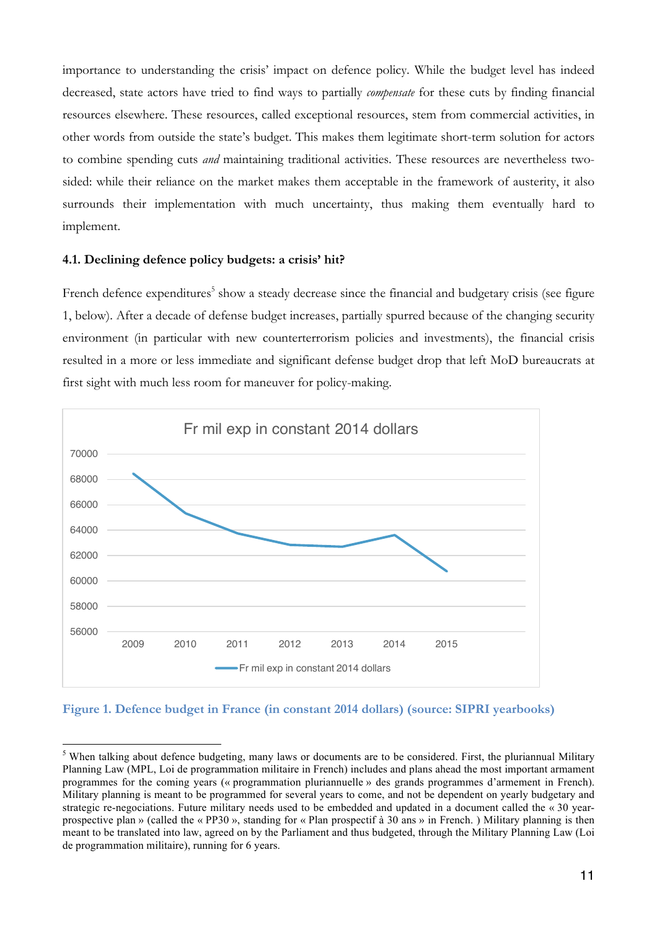importance to understanding the crisis' impact on defence policy. While the budget level has indeed decreased, state actors have tried to find ways to partially *compensate* for these cuts by finding financial resources elsewhere. These resources, called exceptional resources, stem from commercial activities, in other words from outside the state's budget. This makes them legitimate short-term solution for actors to combine spending cuts *and* maintaining traditional activities. These resources are nevertheless twosided: while their reliance on the market makes them acceptable in the framework of austerity, it also surrounds their implementation with much uncertainty, thus making them eventually hard to implement.

### **4.1. Declining defence policy budgets: a crisis' hit?**

French defence expenditures<sup>5</sup> show a steady decrease since the financial and budgetary crisis (see figure 1, below). After a decade of defense budget increases, partially spurred because of the changing security environment (in particular with new counterterrorism policies and investments), the financial crisis resulted in a more or less immediate and significant defense budget drop that left MoD bureaucrats at first sight with much less room for maneuver for policy-making.



### **Figure 1. Defence budget in France (in constant 2014 dollars) (source: SIPRI yearbooks)**

 $<sup>5</sup>$  When talking about defence budgeting, many laws or documents are to be considered. First, the pluriannual Military</sup> Planning Law (MPL, Loi de programmation militaire in French) includes and plans ahead the most important armament programmes for the coming years (« programmation pluriannuelle » des grands programmes d'armement in French). Military planning is meant to be programmed for several years to come, and not be dependent on yearly budgetary and strategic re-negociations. Future military needs used to be embedded and updated in a document called the « 30 yearprospective plan » (called the « PP30 », standing for « Plan prospectif à 30 ans » in French. ) Military planning is then meant to be translated into law, agreed on by the Parliament and thus budgeted, through the Military Planning Law (Loi de programmation militaire), running for 6 years.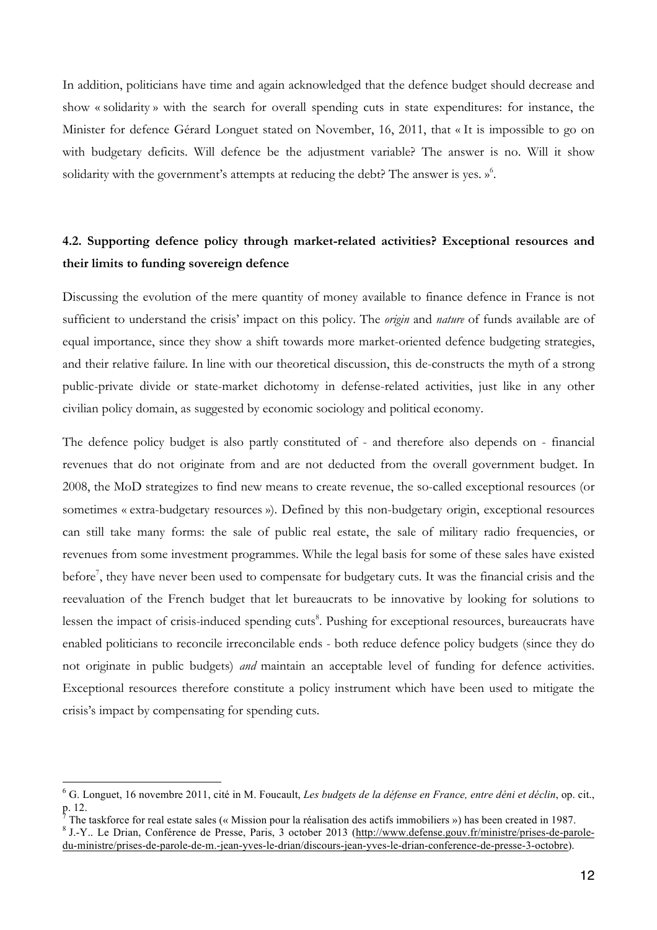In addition, politicians have time and again acknowledged that the defence budget should decrease and show « solidarity » with the search for overall spending cuts in state expenditures: for instance, the Minister for defence Gérard Longuet stated on November, 16, 2011, that « It is impossible to go on with budgetary deficits. Will defence be the adjustment variable? The answer is no. Will it show solidarity with the government's attempts at reducing the debt? The answer is yes. »<sup>6</sup>.

## **4.2. Supporting defence policy through market-related activities? Exceptional resources and their limits to funding sovereign defence**

Discussing the evolution of the mere quantity of money available to finance defence in France is not sufficient to understand the crisis' impact on this policy. The *origin* and *nature* of funds available are of equal importance, since they show a shift towards more market-oriented defence budgeting strategies, and their relative failure. In line with our theoretical discussion, this de-constructs the myth of a strong public-private divide or state-market dichotomy in defense-related activities, just like in any other civilian policy domain, as suggested by economic sociology and political economy.

The defence policy budget is also partly constituted of - and therefore also depends on - financial revenues that do not originate from and are not deducted from the overall government budget. In 2008, the MoD strategizes to find new means to create revenue, the so-called exceptional resources (or sometimes « extra-budgetary resources »). Defined by this non-budgetary origin, exceptional resources can still take many forms: the sale of public real estate, the sale of military radio frequencies, or revenues from some investment programmes. While the legal basis for some of these sales have existed before<sup>7</sup>, they have never been used to compensate for budgetary cuts. It was the financial crisis and the reevaluation of the French budget that let bureaucrats to be innovative by looking for solutions to lessen the impact of crisis-induced spending cuts<sup>8</sup>. Pushing for exceptional resources, bureaucrats have enabled politicians to reconcile irreconcilable ends - both reduce defence policy budgets (since they do not originate in public budgets) *and* maintain an acceptable level of funding for defence activities. Exceptional resources therefore constitute a policy instrument which have been used to mitigate the crisis's impact by compensating for spending cuts.

 <sup>6</sup> G. Longuet, <sup>16</sup> novembre 2011, cité in M. Foucault, *Les budgets de la défense en France, entre déni et déclin*, op. cit.,

<sup>&</sup>lt;sup>7</sup> The taskforce for real estate sales (« Mission pour la réalisation des actifs immobiliers ») has been created in 1987.<br><sup>8</sup> J.-Y.. Le Drian, Conférence de Presse, Paris, 3 october 2013 (http://www.defense.gouv.fr/minis du-ministre/prises-de-parole-de-m.-jean-yves-le-drian/discours-jean-yves-le-drian-conference-de-presse-3-octobre).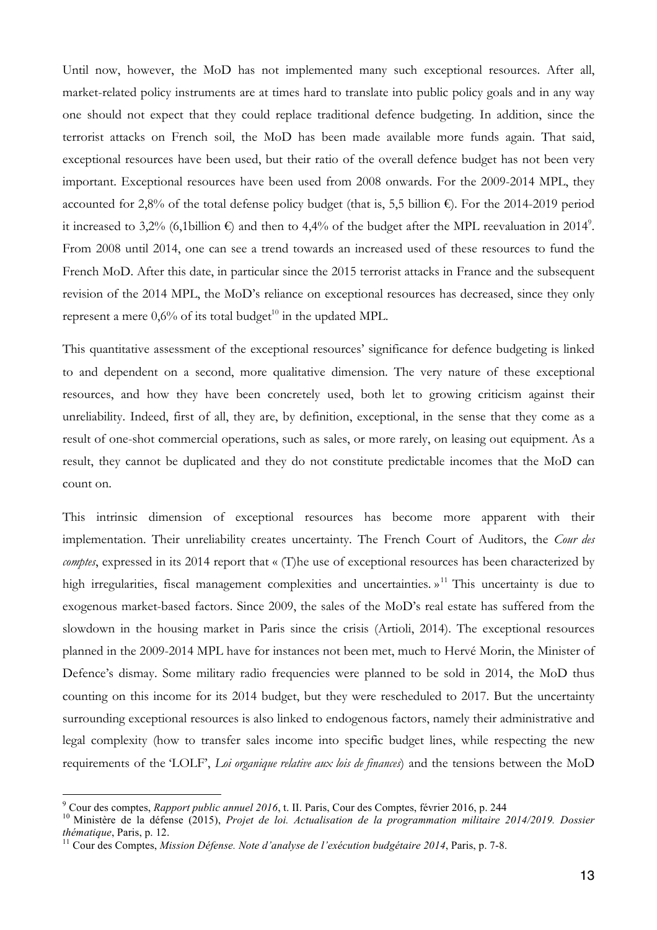Until now, however, the MoD has not implemented many such exceptional resources. After all, market-related policy instruments are at times hard to translate into public policy goals and in any way one should not expect that they could replace traditional defence budgeting. In addition, since the terrorist attacks on French soil, the MoD has been made available more funds again. That said, exceptional resources have been used, but their ratio of the overall defence budget has not been very important. Exceptional resources have been used from 2008 onwards. For the 2009-2014 MPL, they accounted for 2,8% of the total defense policy budget (that is, 5,5 billion  $\epsilon$ ). For the 2014-2019 period it increased to 3,2% (6,1billion  $\epsilon$ ) and then to 4,4% of the budget after the MPL reevaluation in 2014<sup>9</sup>. From 2008 until 2014, one can see a trend towards an increased used of these resources to fund the French MoD. After this date, in particular since the 2015 terrorist attacks in France and the subsequent revision of the 2014 MPL, the MoD's reliance on exceptional resources has decreased, since they only represent a mere  $0.6\%$  of its total budget<sup>10</sup> in the updated MPL.

This quantitative assessment of the exceptional resources' significance for defence budgeting is linked to and dependent on a second, more qualitative dimension. The very nature of these exceptional resources, and how they have been concretely used, both let to growing criticism against their unreliability. Indeed, first of all, they are, by definition, exceptional, in the sense that they come as a result of one-shot commercial operations, such as sales, or more rarely, on leasing out equipment. As a result, they cannot be duplicated and they do not constitute predictable incomes that the MoD can count on.

This intrinsic dimension of exceptional resources has become more apparent with their implementation. Their unreliability creates uncertainty. The French Court of Auditors, the *Cour des comptes*, expressed in its 2014 report that « (T)he use of exceptional resources has been characterized by high irregularities, fiscal management complexities and uncertainties. »<sup>11</sup> This uncertainty is due to exogenous market-based factors. Since 2009, the sales of the MoD's real estate has suffered from the slowdown in the housing market in Paris since the crisis (Artioli, 2014). The exceptional resources planned in the 2009-2014 MPL have for instances not been met, much to Hervé Morin, the Minister of Defence's dismay. Some military radio frequencies were planned to be sold in 2014, the MoD thus counting on this income for its 2014 budget, but they were rescheduled to 2017. But the uncertainty surrounding exceptional resources is also linked to endogenous factors, namely their administrative and legal complexity (how to transfer sales income into specific budget lines, while respecting the new requirements of the 'LOLF', *Loi organique relative aux lois de finances*) and the tensions between the MoD

<sup>&</sup>lt;sup>9</sup> Cour des comptes, *Rapport public annuel 2016*, t. II. Paris, Cour des Comptes, février 2016, p. 244<br><sup>10</sup> Ministère de la défense (2015), *Projet de loi. Actualisation de la programmation militaire 2014/2019. Dossier thématique*, Paris, p. 12. <sup>11</sup> Cour des Comptes, *Mission Défense. Note d'analyse de l'exécution budgétaire <sup>2014</sup>*, Paris, p. 7-8.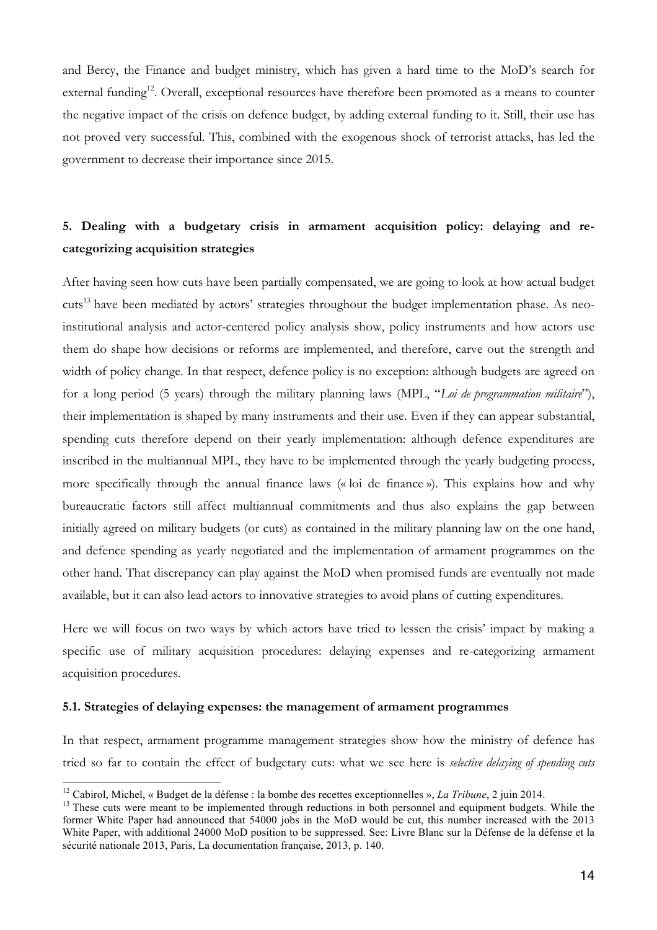and Bercy, the Finance and budget ministry, which has given a hard time to the MoD's search for external funding<sup>12</sup>. Overall, exceptional resources have therefore been promoted as a means to counter the negative impact of the crisis on defence budget, by adding external funding to it. Still, their use has not proved very successful. This, combined with the exogenous shock of terrorist attacks, has led the government to decrease their importance since 2015.

# **5. Dealing with a budgetary crisis in armament acquisition policy: delaying and recategorizing acquisition strategies**

After having seen how cuts have been partially compensated, we are going to look at how actual budget cuts<sup>13</sup> have been mediated by actors' strategies throughout the budget implementation phase. As neoinstitutional analysis and actor-centered policy analysis show, policy instruments and how actors use them do shape how decisions or reforms are implemented, and therefore, carve out the strength and width of policy change. In that respect, defence policy is no exception: although budgets are agreed on for a long period (5 years) through the military planning laws (MPL, "*Loi de programmation militaire*"), their implementation is shaped by many instruments and their use. Even if they can appear substantial, spending cuts therefore depend on their yearly implementation: although defence expenditures are inscribed in the multiannual MPL, they have to be implemented through the yearly budgeting process, more specifically through the annual finance laws (« loi de finance »). This explains how and why bureaucratic factors still affect multiannual commitments and thus also explains the gap between initially agreed on military budgets (or cuts) as contained in the military planning law on the one hand, and defence spending as yearly negotiated and the implementation of armament programmes on the other hand. That discrepancy can play against the MoD when promised funds are eventually not made available, but it can also lead actors to innovative strategies to avoid plans of cutting expenditures.

Here we will focus on two ways by which actors have tried to lessen the crisis' impact by making a specific use of military acquisition procedures: delaying expenses and re-categorizing armament acquisition procedures.

### **5.1. Strategies of delaying expenses: the management of armament programmes**

In that respect, armament programme management strategies show how the ministry of defence has tried so far to contain the effect of budgetary cuts: what we see here is *selective delaying of spending cuts*

<sup>&</sup>lt;sup>12</sup> Cabirol, Michel, « Budget de la défense : la bombe des recettes exceptionnelles », *La Tribune*, 2 juin 2014.<br><sup>13</sup> These cuts were meant to be implemented through reductions in both personnel and equipment budgets. W

former White Paper had announced that 54000 jobs in the MoD would be cut, this number increased with the 2013 White Paper, with additional 24000 MoD position to be suppressed. See: Livre Blanc sur la Défense de la défense et la sécurité nationale 2013, Paris, La documentation française, 2013, p. 140.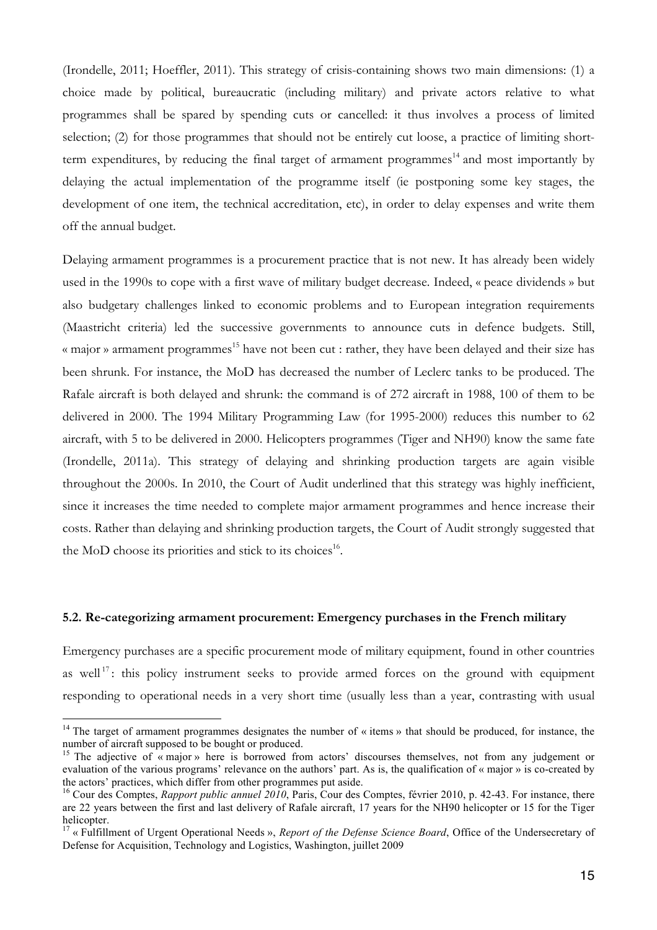(Irondelle, 2011; Hoeffler, 2011). This strategy of crisis-containing shows two main dimensions: (1) a choice made by political, bureaucratic (including military) and private actors relative to what programmes shall be spared by spending cuts or cancelled: it thus involves a process of limited selection; (2) for those programmes that should not be entirely cut loose, a practice of limiting shortterm expenditures, by reducing the final target of armament programmes<sup>14</sup> and most importantly by delaying the actual implementation of the programme itself (ie postponing some key stages, the development of one item, the technical accreditation, etc), in order to delay expenses and write them off the annual budget.

Delaying armament programmes is a procurement practice that is not new. It has already been widely used in the 1990s to cope with a first wave of military budget decrease. Indeed, « peace dividends » but also budgetary challenges linked to economic problems and to European integration requirements (Maastricht criteria) led the successive governments to announce cuts in defence budgets. Still, « major » armament programmes<sup>15</sup> have not been cut : rather, they have been delayed and their size has been shrunk. For instance, the MoD has decreased the number of Leclerc tanks to be produced. The Rafale aircraft is both delayed and shrunk: the command is of 272 aircraft in 1988, 100 of them to be delivered in 2000. The 1994 Military Programming Law (for 1995-2000) reduces this number to 62 aircraft, with 5 to be delivered in 2000. Helicopters programmes (Tiger and NH90) know the same fate (Irondelle, 2011a). This strategy of delaying and shrinking production targets are again visible throughout the 2000s. In 2010, the Court of Audit underlined that this strategy was highly inefficient, since it increases the time needed to complete major armament programmes and hence increase their costs. Rather than delaying and shrinking production targets, the Court of Audit strongly suggested that the MoD choose its priorities and stick to its choices<sup>16</sup>.

#### **5.2. Re-categorizing armament procurement: Emergency purchases in the French military**

Emergency purchases are a specific procurement mode of military equipment, found in other countries as well<sup>17</sup>: this policy instrument seeks to provide armed forces on the ground with equipment responding to operational needs in a very short time (usually less than a year, contrasting with usual

<sup>&</sup>lt;sup>14</sup> The target of armament programmes designates the number of « items » that should be produced, for instance, the number of aircraft supposed to be bought or produced.<br><sup>15</sup> The adjective of « major » here is borrowed from actors' discourses themselves, not from any judgement or

evaluation of the various programs' relevance on the authors' part. As is, the qualification of « major » is co-created by the actors' practices, which differ from other programmes put aside. <sup>16</sup> Cour des Comptes, *Rapport public annuel <sup>2010</sup>*, Paris, Cour des Comptes, février 2010, p. 42-43. For instance, there

are 22 years between the first and last delivery of Rafale aircraft, 17 years for the NH90 helicopter or 15 for the Tiger helicopter.

<sup>17</sup> « Fulfillment of Urgent Operational Needs », *Report of the Defense Science Board*, Office of the Undersecretary of Defense for Acquisition, Technology and Logistics, Washington, juillet 2009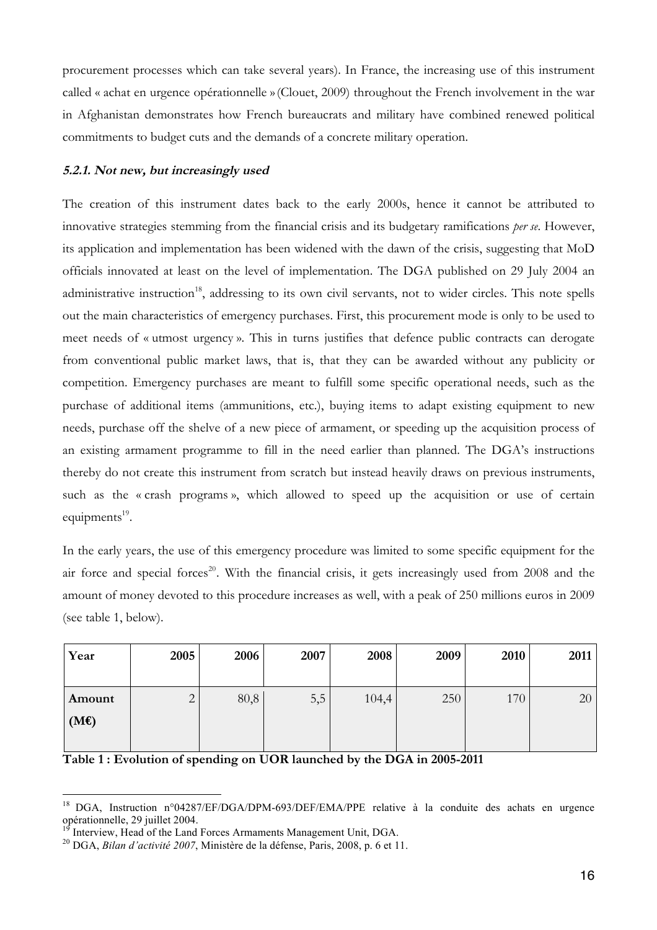procurement processes which can take several years). In France, the increasing use of this instrument called « achat en urgence opérationnelle »(Clouet, 2009) throughout the French involvement in the war in Afghanistan demonstrates how French bureaucrats and military have combined renewed political commitments to budget cuts and the demands of a concrete military operation.

### **5.2.1. Not new, but increasingly used**

The creation of this instrument dates back to the early 2000s, hence it cannot be attributed to innovative strategies stemming from the financial crisis and its budgetary ramifications *per se*. However, its application and implementation has been widened with the dawn of the crisis, suggesting that MoD officials innovated at least on the level of implementation. The DGA published on 29 July 2004 an administrative instruction<sup>18</sup>, addressing to its own civil servants, not to wider circles. This note spells out the main characteristics of emergency purchases. First, this procurement mode is only to be used to meet needs of « utmost urgency ». This in turns justifies that defence public contracts can derogate from conventional public market laws, that is, that they can be awarded without any publicity or competition. Emergency purchases are meant to fulfill some specific operational needs, such as the purchase of additional items (ammunitions, etc.), buying items to adapt existing equipment to new needs, purchase off the shelve of a new piece of armament, or speeding up the acquisition process of an existing armament programme to fill in the need earlier than planned. The DGA's instructions thereby do not create this instrument from scratch but instead heavily draws on previous instruments, such as the « crash programs », which allowed to speed up the acquisition or use of certain equipments $19$ .

In the early years, the use of this emergency procedure was limited to some specific equipment for the air force and special forces<sup>20</sup>. With the financial crisis, it gets increasingly used from  $2008$  and the amount of money devoted to this procedure increases as well, with a peak of 250 millions euros in 2009 (see table 1, below).

| Year   | 2005           | 2006 | 2007 | 2008  | 2009 | 2010 | 2011 |
|--------|----------------|------|------|-------|------|------|------|
|        |                |      |      |       |      |      |      |
| Amount | $\overline{2}$ | 80,8 | 5,5  | 104,4 | 250  | 170  | 20   |
| (ME)   |                |      |      |       |      |      |      |
|        |                |      |      |       |      |      |      |

**Table 1 : Evolution of spending on UOR launched by the DGA in 2005-2011**

<sup>&</sup>lt;sup>18</sup> DGA, Instruction n°04287/EF/DGA/DPM-693/DEF/EMA/PPE relative à la conduite des achats en urgence

opérationnelle, <sup>29</sup> juillet 2004. <sup>19</sup> Interview, Head of the Land Forces Armaments Management Unit, DGA. <sup>20</sup> DGA, *Bilan d'activité <sup>2007</sup>*, Ministère de la défense, Paris, 2008, p. <sup>6</sup> et 11.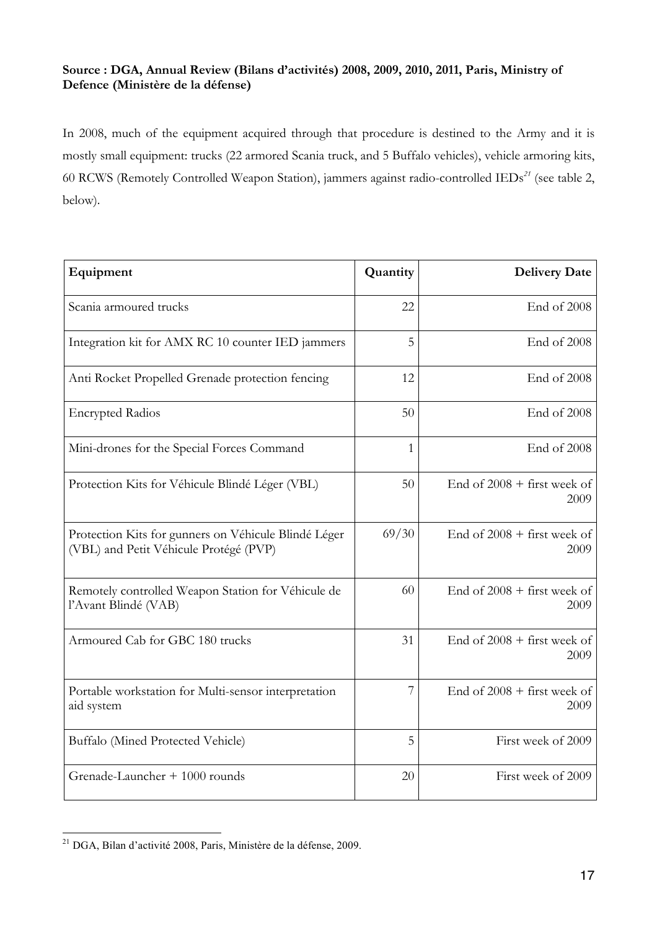### **Source : DGA, Annual Review (Bilans d'activités) 2008, 2009, 2010, 2011, Paris, Ministry of Defence (Ministère de la défense)**

In 2008, much of the equipment acquired through that procedure is destined to the Army and it is mostly small equipment: trucks (22 armored Scania truck, and 5 Buffalo vehicles), vehicle armoring kits, 60 RCWS (Remotely Controlled Weapon Station), jammers against radio-controlled IEDs*<sup>21</sup>* (see table 2, below).

| Equipment                                                                                      | Quantity | <b>Delivery Date</b>                  |
|------------------------------------------------------------------------------------------------|----------|---------------------------------------|
| Scania armoured trucks                                                                         | 22       | End of 2008                           |
| Integration kit for AMX RC 10 counter IED jammers                                              | 5        | End of 2008                           |
| Anti Rocket Propelled Grenade protection fencing                                               | 12       | End of 2008                           |
| <b>Encrypted Radios</b>                                                                        | 50       | End of 2008                           |
| Mini-drones for the Special Forces Command                                                     | 1        | End of 2008                           |
| Protection Kits for Véhicule Blindé Léger (VBL)                                                | 50       | End of $2008 +$ first week of<br>2009 |
| Protection Kits for gunners on Véhicule Blindé Léger<br>(VBL) and Petit Véhicule Protégé (PVP) | 69/30    | End of $2008 +$ first week of<br>2009 |
| Remotely controlled Weapon Station for Véhicule de<br>l'Avant Blindé (VAB)                     | 60       | End of $2008 +$ first week of<br>2009 |
| Armoured Cab for GBC 180 trucks                                                                | 31       | End of $2008 +$ first week of<br>2009 |
| Portable workstation for Multi-sensor interpretation<br>aid system                             | 7        | End of $2008 +$ first week of<br>2009 |
| Buffalo (Mined Protected Vehicle)                                                              | 5        | First week of 2009                    |
| Grenade-Launcher + 1000 rounds                                                                 | 20       | First week of 2009                    |

 <sup>21</sup> DGA, Bilan d'activité 2008, Paris, Ministère de la défense, 2009.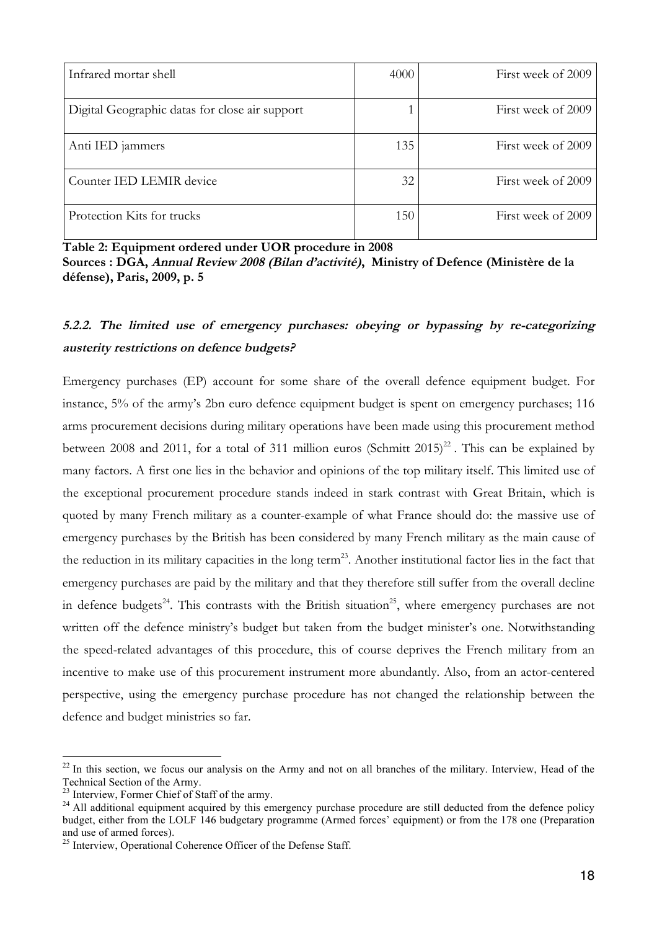| Infrared mortar shell                          | 4000 | First week of 2009 |
|------------------------------------------------|------|--------------------|
| Digital Geographic datas for close air support |      | First week of 2009 |
| Anti IED jammers                               | 135  | First week of 2009 |
| Counter IED LEMIR device                       | 32   | First week of 2009 |
| Protection Kits for trucks                     | 150  | First week of 2009 |

**Table 2: Equipment ordered under UOR procedure in 2008**

**Sources : DGA, Annual Review <sup>2008</sup> (Bilan d'activité), Ministry of Defence (Ministère de la défense), Paris, 2009, p. 5**

# **5.2.2. The limited use of emergency purchases: obeying or bypassing by re-categorizing austerity restrictions on defence budgets?**

Emergency purchases (EP) account for some share of the overall defence equipment budget. For instance, 5% of the army's 2bn euro defence equipment budget is spent on emergency purchases; 116 arms procurement decisions during military operations have been made using this procurement method between 2008 and 2011, for a total of 311 million euros (Schmitt  $2015)^{22}$ . This can be explained by many factors. A first one lies in the behavior and opinions of the top military itself. This limited use of the exceptional procurement procedure stands indeed in stark contrast with Great Britain, which is quoted by many French military as a counter-example of what France should do: the massive use of emergency purchases by the British has been considered by many French military as the main cause of the reduction in its military capacities in the long term<sup>23</sup>. Another institutional factor lies in the fact that emergency purchases are paid by the military and that they therefore still suffer from the overall decline in defence budgets<sup>24</sup>. This contrasts with the British situation<sup>25</sup>, where emergency purchases are not written off the defence ministry's budget but taken from the budget minister's one. Notwithstanding the speed-related advantages of this procedure, this of course deprives the French military from an incentive to make use of this procurement instrument more abundantly. Also, from an actor-centered perspective, using the emergency purchase procedure has not changed the relationship between the defence and budget ministries so far.

 $22$  In this section, we focus our analysis on the Army and not on all branches of the military. Interview, Head of the Technical Section of the Army.<br><sup>23</sup> Interview, Former Chief of Staff of the army.<br><sup>24</sup> All additional equipment acquired by this emergency purchase procedure are still deducted from the defence policy

budget, either from the LOLF 146 budgetary programme (Armed forces' equipment) or from the 178 one (Preparation and use of armed forces).

 $25$  Interview, Operational Coherence Officer of the Defense Staff.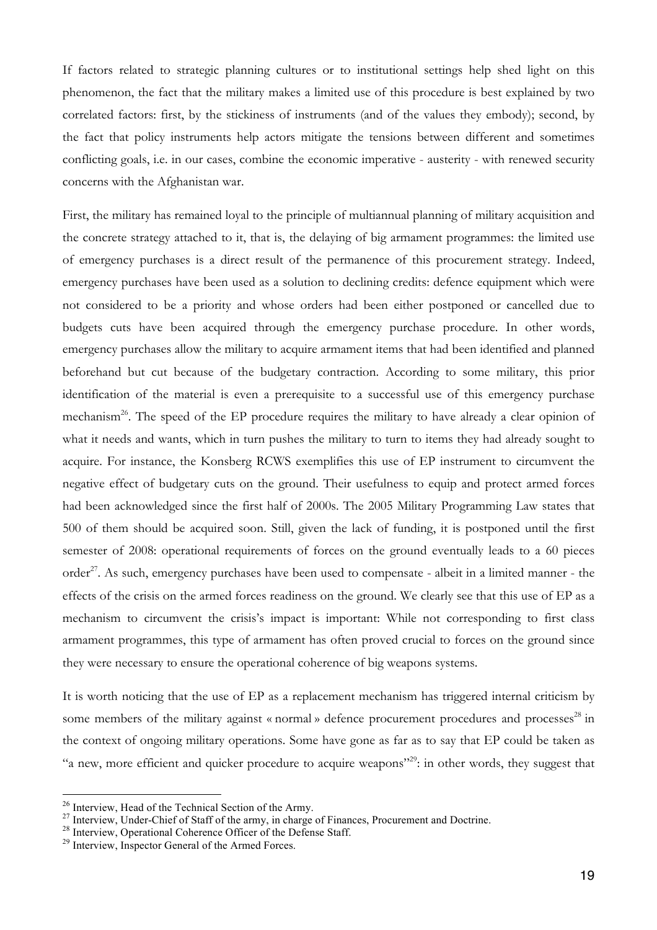If factors related to strategic planning cultures or to institutional settings help shed light on this phenomenon, the fact that the military makes a limited use of this procedure is best explained by two correlated factors: first, by the stickiness of instruments (and of the values they embody); second, by the fact that policy instruments help actors mitigate the tensions between different and sometimes conflicting goals, i.e. in our cases, combine the economic imperative - austerity - with renewed security concerns with the Afghanistan war.

First, the military has remained loyal to the principle of multiannual planning of military acquisition and the concrete strategy attached to it, that is, the delaying of big armament programmes: the limited use of emergency purchases is a direct result of the permanence of this procurement strategy. Indeed, emergency purchases have been used as a solution to declining credits: defence equipment which were not considered to be a priority and whose orders had been either postponed or cancelled due to budgets cuts have been acquired through the emergency purchase procedure. In other words, emergency purchases allow the military to acquire armament items that had been identified and planned beforehand but cut because of the budgetary contraction. According to some military, this prior identification of the material is even a prerequisite to a successful use of this emergency purchase mechanism<sup>26</sup>. The speed of the EP procedure requires the military to have already a clear opinion of what it needs and wants, which in turn pushes the military to turn to items they had already sought to acquire. For instance, the Konsberg RCWS exemplifies this use of EP instrument to circumvent the negative effect of budgetary cuts on the ground. Their usefulness to equip and protect armed forces had been acknowledged since the first half of 2000s. The 2005 Military Programming Law states that 500 of them should be acquired soon. Still, given the lack of funding, it is postponed until the first semester of 2008: operational requirements of forces on the ground eventually leads to a 60 pieces order<sup>27</sup>. As such, emergency purchases have been used to compensate - albeit in a limited manner - the effects of the crisis on the armed forces readiness on the ground. We clearly see that this use of EP as a mechanism to circumvent the crisis's impact is important: While not corresponding to first class armament programmes, this type of armament has often proved crucial to forces on the ground since they were necessary to ensure the operational coherence of big weapons systems.

It is worth noticing that the use of EP as a replacement mechanism has triggered internal criticism by some members of the military against « normal » defence procurement procedures and processes<sup>28</sup> in the context of ongoing military operations. Some have gone as far as to say that EP could be taken as "a new, more efficient and quicker procedure to acquire weapons"<sup>29</sup>: in other words, they suggest that

<sup>&</sup>lt;sup>26</sup> Interview, Head of the Technical Section of the Army.<br><sup>27</sup> Interview, Under-Chief of Staff of the army, in charge of Finances, Procurement and Doctrine.<br><sup>28</sup> Interview, Operational Coherence Officer of the Defense St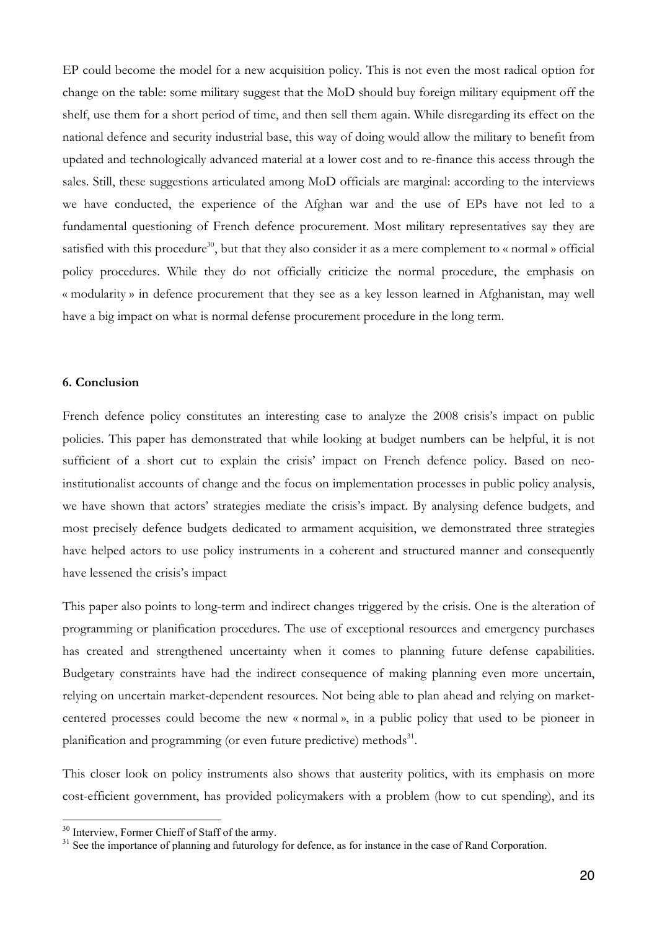EP could become the model for a new acquisition policy. This is not even the most radical option for change on the table: some military suggest that the MoD should buy foreign military equipment off the shelf, use them for a short period of time, and then sell them again. While disregarding its effect on the national defence and security industrial base, this way of doing would allow the military to benefit from updated and technologically advanced material at a lower cost and to re-finance this access through the sales. Still, these suggestions articulated among MoD officials are marginal: according to the interviews we have conducted, the experience of the Afghan war and the use of EPs have not led to a fundamental questioning of French defence procurement. Most military representatives say they are satisfied with this procedure<sup>30</sup>, but that they also consider it as a mere complement to « normal » official policy procedures. While they do not officially criticize the normal procedure, the emphasis on « modularity » in defence procurement that they see as a key lesson learned in Afghanistan, may well have a big impact on what is normal defense procurement procedure in the long term.

### **6. Conclusion**

French defence policy constitutes an interesting case to analyze the 2008 crisis's impact on public policies. This paper has demonstrated that while looking at budget numbers can be helpful, it is not sufficient of a short cut to explain the crisis' impact on French defence policy. Based on neoinstitutionalist accounts of change and the focus on implementation processes in public policy analysis, we have shown that actors' strategies mediate the crisis's impact. By analysing defence budgets, and most precisely defence budgets dedicated to armament acquisition, we demonstrated three strategies have helped actors to use policy instruments in a coherent and structured manner and consequently have lessened the crisis's impact

This paper also points to long-term and indirect changes triggered by the crisis. One is the alteration of programming or planification procedures. The use of exceptional resources and emergency purchases has created and strengthened uncertainty when it comes to planning future defense capabilities. Budgetary constraints have had the indirect consequence of making planning even more uncertain, relying on uncertain market-dependent resources. Not being able to plan ahead and relying on marketcentered processes could become the new « normal », in a public policy that used to be pioneer in planification and programming (or even future predictive) methods $^{31}$ .

This closer look on policy instruments also shows that austerity politics, with its emphasis on more cost-efficient government, has provided policymakers with a problem (how to cut spending), and its

 $30$  Interview, Former Chieff of Staff of the army.<br> $31$  See the importance of planning and futurology for defence, as for instance in the case of Rand Corporation.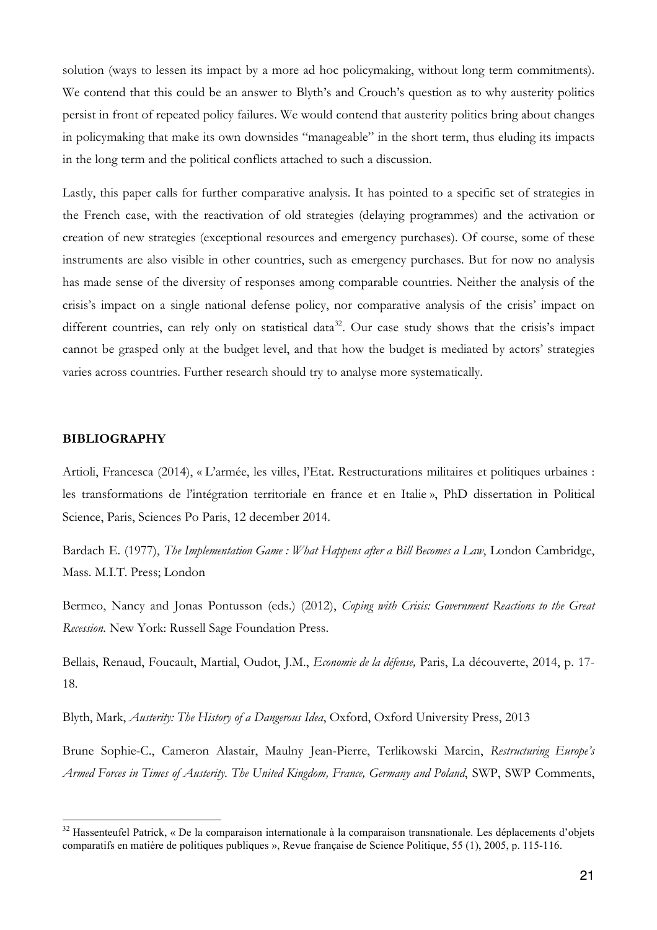solution (ways to lessen its impact by a more ad hoc policymaking, without long term commitments). We contend that this could be an answer to Blyth's and Crouch's question as to why austerity politics persist in front of repeated policy failures. We would contend that austerity politics bring about changes in policymaking that make its own downsides "manageable" in the short term, thus eluding its impacts in the long term and the political conflicts attached to such a discussion.

Lastly, this paper calls for further comparative analysis. It has pointed to a specific set of strategies in the French case, with the reactivation of old strategies (delaying programmes) and the activation or creation of new strategies (exceptional resources and emergency purchases). Of course, some of these instruments are also visible in other countries, such as emergency purchases. But for now no analysis has made sense of the diversity of responses among comparable countries. Neither the analysis of the crisis's impact on a single national defense policy, nor comparative analysis of the crisis' impact on different countries, can rely only on statistical data<sup>32</sup>. Our case study shows that the crisis's impact cannot be grasped only at the budget level, and that how the budget is mediated by actors' strategies varies across countries. Further research should try to analyse more systematically.

#### **BIBLIOGRAPHY**

Artioli, Francesca (2014), « L'armée, les villes, l'Etat. Restructurations militaires et politiques urbaines : les transformations de l'intégration territoriale en france et en Italie », PhD dissertation in Political Science, Paris, Sciences Po Paris, 12 december 2014.

Bardach E. (1977), *The Implementation Game : What Happens after a Bill Becomes a Law*, London Cambridge, Mass. M.I.T. Press; London

Bermeo, Nancy and Jonas Pontusson (eds.) (2012), *Coping with Crisis: Government Reactions to the Great Recession.* New York: Russell Sage Foundation Press.

Bellais, Renaud, Foucault, Martial, Oudot, J.M., *Economie de la défense,* Paris, La découverte, 2014, p. 17- 18.

Blyth, Mark, *Austerity: The History of a Dangerous Idea*, Oxford, Oxford University Press, 2013

Brune Sophie-C., Cameron Alastair, Maulny Jean-Pierre, Terlikowski Marcin, *Restructuring Europe's Armed Forces in Times of Austerity. The United Kingdom, France, Germany and Poland*, SWP, SWP Comments,

<sup>&</sup>lt;sup>32</sup> Hassenteufel Patrick, « De la comparaison internationale à la comparaison transnationale. Les déplacements d'objets comparatifs en matière de politiques publiques », Revue française de Science Politique, 55 (1), 2005, p. 115-116.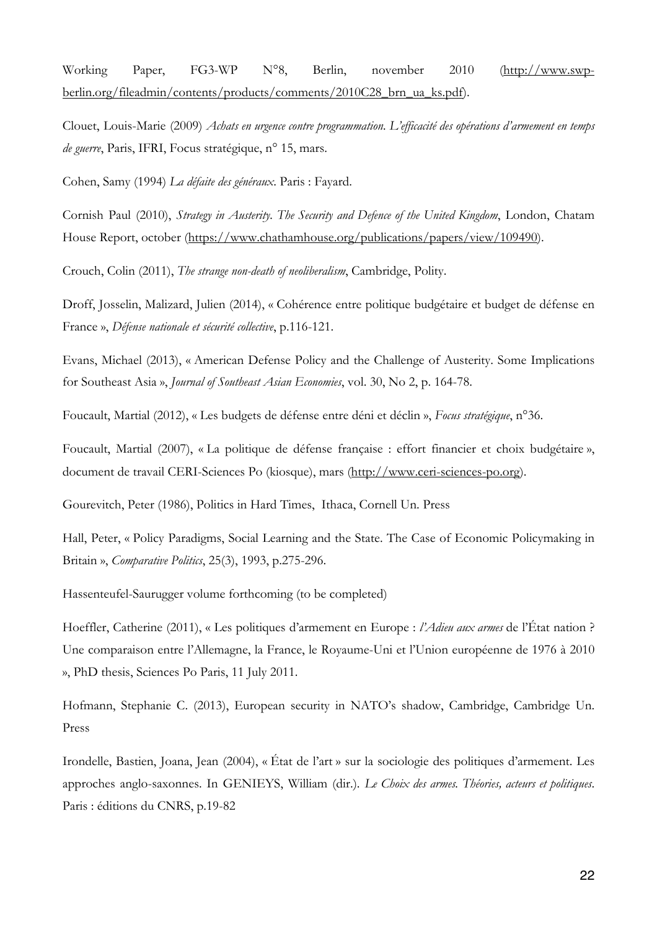Working Paper, FG3-WP N°8, Berlin, november 2010 (http://www.swpberlin.org/fileadmin/contents/products/comments/2010C28\_brn\_ua\_ks.pdf).

Clouet, Louis-Marie (2009) *Achats en urgence contre programmation. L'efficacité des opérations d'armement en temps de guerre*, Paris, IFRI, Focus stratégique, n° 15, mars.

Cohen, Samy (1994) *La défaite des généraux*. Paris : Fayard.

Cornish Paul (2010), *Strategy in Austerity. The Security and Defence of the United Kingdom*, London, Chatam House Report, october (https://www.chathamhouse.org/publications/papers/view/109490).

Crouch, Colin (2011), *The strange non-death of neoliberalism*, Cambridge, Polity.

Droff, Josselin, Malizard, Julien (2014), « Cohérence entre politique budgétaire et budget de défense en France », *Défense nationale et sécurité collective*, p.116-121.

Evans, Michael (2013), « American Defense Policy and the Challenge of Austerity. Some Implications for Southeast Asia », *Journal of Southeast Asian Economies*, vol. 30, No 2, p. 164-78.

Foucault, Martial (2012), « Les budgets de défense entre déni et déclin », *Focus stratégique*, n°36.

Foucault, Martial (2007), « La politique de défense française : effort financier et choix budgétaire », document de travail CERI-Sciences Po (kiosque), mars (http://www.ceri-sciences-po.org).

Gourevitch, Peter (1986), Politics in Hard Times, Ithaca, Cornell Un. Press

Hall, Peter, « Policy Paradigms, Social Learning and the State. The Case of Economic Policymaking in Britain », *Comparative Politics*, 25(3), 1993, p.275-296.

Hassenteufel-Saurugger volume forthcoming (to be completed)

Hoeffler, Catherine (2011), « Les politiques d'armement en Europe : *l'Adieu aux armes* de l'État nation ? Une comparaison entre l'Allemagne, la France, le Royaume-Uni et l'Union européenne de 1976 à 2010 », PhD thesis, Sciences Po Paris, 11 July 2011.

Hofmann, Stephanie C. (2013), European security in NATO's shadow, Cambridge, Cambridge Un. Press

Irondelle, Bastien, Joana, Jean (2004), « État de l'art » sur la sociologie des politiques d'armement. Les approches anglo-saxonnes. In GENIEYS, William (dir.). *Le Choix des armes. Théories, acteurs et politiques*. Paris : éditions du CNRS, p.19-82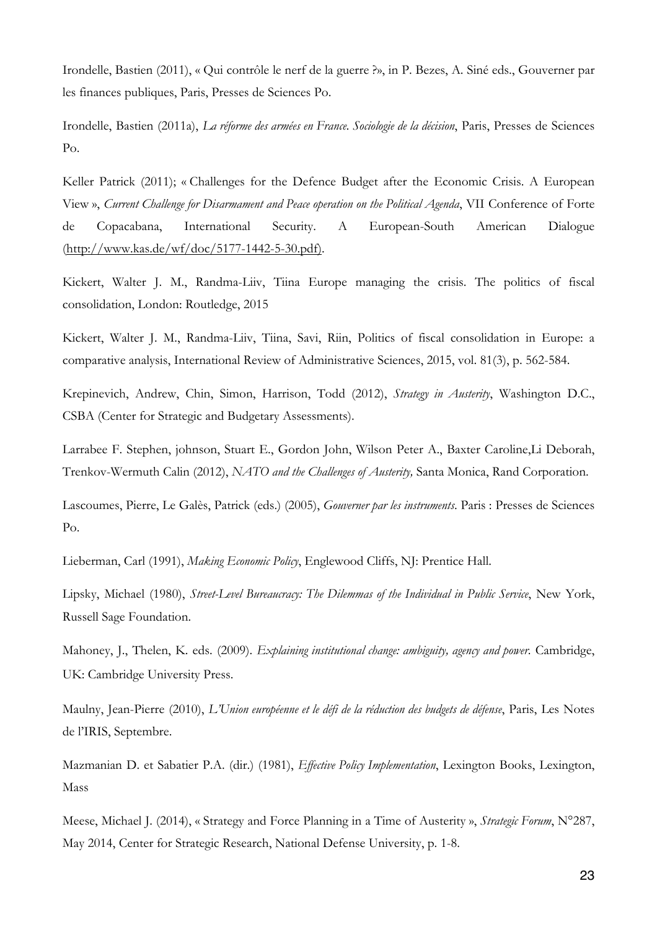Irondelle, Bastien (2011), « Qui contrôle le nerf de la guerre ?», in P. Bezes, A. Siné eds., Gouverner par les finances publiques, Paris, Presses de Sciences Po.

Irondelle, Bastien (2011a), *La réforme des armées en France. Sociologie de la décision*, Paris, Presses de Sciences Po.

Keller Patrick (2011); « Challenges for the Defence Budget after the Economic Crisis. A European View », *Current Challenge for Disarmament and Peace operation on the Political Agenda*, VII Conference of Forte de Copacabana, International Security. A European-South American Dialogue (http://www.kas.de/wf/doc/5177-1442-5-30.pdf).

Kickert, Walter J. M., Randma-Liiv, Tiina Europe managing the crisis. The politics of fiscal consolidation, London: Routledge, 2015

Kickert, Walter J. M., Randma-Liiv, Tiina, Savi, Riin, Politics of fiscal consolidation in Europe: a comparative analysis, International Review of Administrative Sciences, 2015, vol. 81(3), p. 562-584.

Krepinevich, Andrew, Chin, Simon, Harrison, Todd (2012), *Strategy in Austerity*, Washington D.C., CSBA (Center for Strategic and Budgetary Assessments).

Larrabee F. Stephen, johnson, Stuart E., Gordon John, Wilson Peter A., Baxter Caroline,Li Deborah, Trenkov-Wermuth Calin (2012), *NATO and the Challenges of Austerity,* Santa Monica, Rand Corporation.

Lascoumes, Pierre, Le Galès, Patrick (eds.) (2005), *Gouverner par les instruments*. Paris : Presses de Sciences Po.

Lieberman, Carl (1991), *Making Economic Policy*, Englewood Cliffs, NJ: Prentice Hall.

Lipsky, Michael (1980), *Street-Level Bureaucracy: The Dilemmas of the Individual in Public Service*, New York, Russell Sage Foundation.

Mahoney, J., Thelen, K. eds. (2009). *Explaining institutional change: ambiguity, agency and power*. Cambridge, UK: Cambridge University Press.

Maulny, Jean-Pierre (2010), *L'Union européenne et le défi de la réduction des budgets de défense*, Paris, Les Notes de l'IRIS, Septembre.

Mazmanian D. et Sabatier P.A. (dir.) (1981), *Effective Policy Implementation*, Lexington Books, Lexington, Mass

Meese, Michael J. (2014), « Strategy and Force Planning in a Time of Austerity », *Strategic Forum*, N°287, May 2014, Center for Strategic Research, National Defense University, p. 1-8.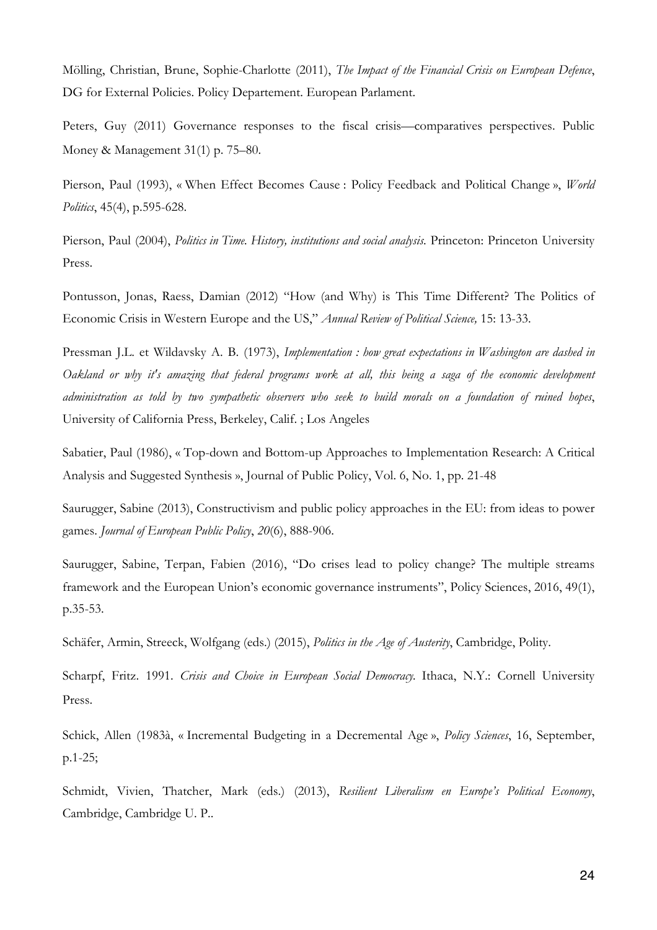Mölling, Christian, Brune, Sophie-Charlotte (2011), *The Impact of the Financial Crisis on European Defence*, DG for External Policies. Policy Departement. European Parlament.

Peters, Guy (2011) Governance responses to the fiscal crisis—comparatives perspectives. Public Money & Management 31(1) p. 75–80.

Pierson, Paul (1993), « When Effect Becomes Cause : Policy Feedback and Political Change », *World Politics*, 45(4), p.595-628.

Pierson, Paul (2004), *Politics in Time. History, institutions and social analysis*. Princeton: Princeton University Press.

Pontusson, Jonas, Raess, Damian (2012) "How (and Why) is This Time Different? The Politics of Economic Crisis in Western Europe and the US," *Annual Review of Political Science,* 15: 13-33.

Pressman J.L. et Wildavsky A. B. (1973), *Implementation : how great expectations in Washington are dashed in* Oakland or why it's amazing that federal programs work at all, this being a saga of the economic development administration as told by two sympathetic observers who seek to build morals on a foundation of ruined hopes, University of California Press, Berkeley, Calif. ; Los Angeles

Sabatier, Paul (1986), « Top-down and Bottom-up Approaches to Implementation Research: A Critical Analysis and Suggested Synthesis », Journal of Public Policy, Vol. 6, No. 1, pp. 21-48

Saurugger, Sabine (2013), Constructivism and public policy approaches in the EU: from ideas to power games. *Journal of European Public Policy*, *20*(6), 888-906.

Saurugger, Sabine, Terpan, Fabien (2016), "Do crises lead to policy change? The multiple streams framework and the European Union's economic governance instruments", Policy Sciences, 2016, 49(1), p.35-53.

Schäfer, Armin, Streeck, Wolfgang (eds.) (2015), *Politics in the Age of Austerity*, Cambridge, Polity.

Scharpf, Fritz. 1991. *Crisis and Choice in European Social Democracy.* Ithaca, N.Y.: Cornell University Press.

Schick, Allen (1983à, « Incremental Budgeting in a Decremental Age », *Policy Sciences*, 16, September, p.1-25;

Schmidt, Vivien, Thatcher, Mark (eds.) (2013), *Resilient Liberalism en Europe's Political Economy*, Cambridge, Cambridge U. P..